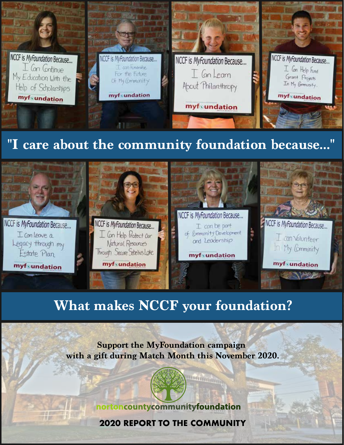

## **"I care about the community foundation because..."**



## **What makes NCCF your foundation?**

**Support the MyFoundation campaign with a gift during Match Month this November 2020.**

**Litterature** 



**START AND** 

**2020 REPORT TO THE COMMUNITY**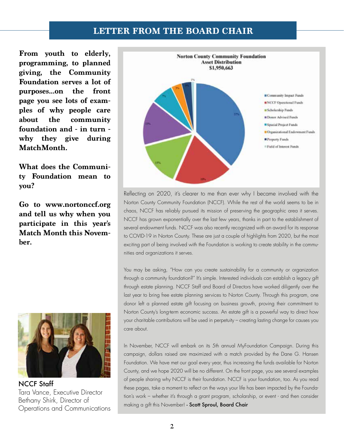### **LETTER FROM THE BOARD CHAIR**

**From youth to elderly, programming, to planned giving, the Community Foundation serves a lot of purposes...on the front page you see lots of examples of why people care about the community foundation and - in turn why they give during MatchMonth.** 

**What does the Community Foundation mean to you?** 

**Go to www.nortonccf.org and tell us why when you participate in this year's Match Month this November.**



NCCF Staff Tara Vance, Executive Director Bethany Shirk, Director of Operations and Communications



Reflecting on 2020, it's clearer to me than ever why I became involved with the Norton County Community Foundation (NCCF). While the rest of the world seems to be in chaos, NCCF has reliably pursued its mission of preserving the geographic area it serves. NCCF has grown exponentially over the last few years, thanks in part to the establishment of several endowment funds. NCCF was also recently recognized with an award for its response to COVID-19 in Norton County. These are just a couple of highlights from 2020, but the most exciting part of being involved with the Foundation is working to create stability in the communities and organizations it serves.

You may be asking, "How can you create sustainability for a community or organization through a community foundation?" It's simple. Interested individuals can establish a legacy gift through estate planning. NCCF Staff and Board of Directors have worked diligently over the last year to bring free estate planning services to Norton County. Through this program, one donor left a planned estate gift focusing on business growth, proving their commitment to Norton County's long-term economic success. An estate gift is a powerful way to direct how your charitable contributions will be used in perpetuity – creating lasting change for causes you care about.

In November, NCCF will embark on its 5th annual MyFoundation Campaign. During this campaign, dollars raised are maximized with a match provided by the Dane G. Hansen Foundation. We have met our goal every year, thus increasing the funds available for Norton County, and we hope 2020 will be no different. On the front page, you see several examples of people sharing why NCCF is their foundation. NCCF is your foundation, too. As you read these pages, take a moment to reflect on the ways your life has been impacted by the Foundation's work – whether it's through a grant program, scholarship, or event - and then consider making a gift this November! - Scott Sproul, Board Chair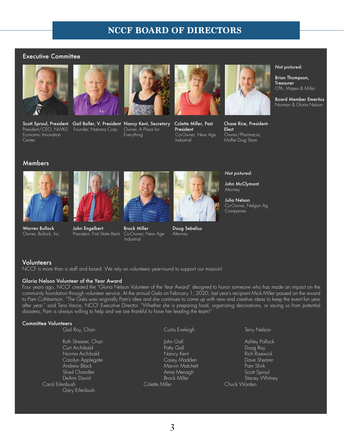## **NCCF BOARD OF DIRECTORS**

#### Executive Committee



President/CEO, NWKS Founder, Natoma Corp. Owner, A Place for **President** President Economic Innovation Lecture Election Everything Co-Owner, New Age Economic Innovation **Exercise Coronal Co-Owner, New Age Cover**<br>Co-Owner, New Age Cover, Pharmacist, Center (Pharmacist, 2014)<br>Center Industrial Moffet Drug Store









Moffet Drug Store

#### *Not pictured:*

Brian Thompson, **Treasurer** CPA, Mapes & Miller

Board Member Emeritus Norman & Gloria Nelson

#### Members





Warren Bullock John Engelbert Brock Miller Doug Sebelius<br>Owner, Bullock, Inc. President, First State Bank Co-Owner, New Age Attorney President, First State Bank Co-Owner, New Age Attorney Industrial



#### *Not pictured:*

John McClymont **Attorney** 

Julia Nelson Co-Owner, Nelgon Ag **Companies** 

#### **Volunteers**

NCCF is more than a staff and board. We rely on volunteers year-round to support our mission!

#### Gloria Nelson Volunteer of the Year Award

Four years ago, NCCF created the "Gloria Nelson Volunteer of the Year Award" designed to honor someone who has made an impact on the community foundation through volunteer service. At the annual Gala on February 1, 2020, last year's recipient Mick Miller passed on the award to Pam Cuthbertson. "The Gala was originally Pam's idea and she continues to come up with new and creative ideas to keep the event fun year after year," said Tara Vance, NCCF Executive Director. "Whether she is preparing food, organizing decorations, or saving us from potential disasters, Pam is always willing to help and we are thankful to have her leading the team!"

#### Committee Volunteers

| Gail Roy, Chair                                                                                                                                                    | Curtis Eveleigh                                                                                                                  | Terry Nelson                                                                                                                      |
|--------------------------------------------------------------------------------------------------------------------------------------------------------------------|----------------------------------------------------------------------------------------------------------------------------------|-----------------------------------------------------------------------------------------------------------------------------------|
| Ruth Shearer, Chair<br>Curt Archibald<br>Norma Archibald<br>Carolyn Applegate<br>Andrew Black<br>Shad Chandler<br>DeAnn David<br>Carol Erlenbush<br>Gary Erlenbush | John Gall<br>Patty Gall<br>Nancy Kent<br>Casey Madden<br>Marvin Matchett<br>Amie Menagh<br><b>Brock Miller</b><br>Colette Miller | Ashley Pollock<br>Doug Ray<br><b>Rich Risewick</b><br>Dave Shearer<br>Pam Shirk<br>Scott Sproul<br>Stacey Whitney<br>Chuck Worden |
|                                                                                                                                                                    |                                                                                                                                  |                                                                                                                                   |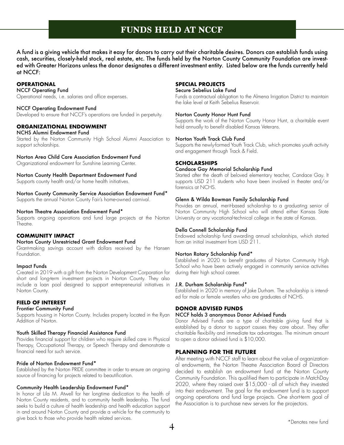## **FUNDS HELD AT NCCF**

A fund is a giving vehicle that makes it easy for donors to carry out their charitable desires. Donors can establish funds using cash, securities, closely-held stock, real estate, etc. The funds held by the Norton County Community Foundation are invested with Greater Horizons unless the donor designates a different investment entity. Listed below are the funds currently held at NCCF:

#### **OPERATIONAL**

NCCF Operating Fund Operational needs, i.e. salaries and office expenses.

#### NCCF Operating Endowment Fund

Developed to ensure that NCCF's operations are funded in perpetuity.

#### **ORGANIZATIONAL ENDOWMENT**

#### NCHS Alumni Endowment Fund

Started by the Norton Community High School Alumni Association to support scholarships.

#### Norton Area Child Care Association Endowment Fund

Organizational endowment for Sunshine Learning Center.

#### Norton County Health Department Endowment Fund

Supports county health and/or home health initiatives.

#### Norton County Community Service Association Endowment Fund\*

Supports the annual Norton County Fair's home-owned carnival.

#### Norton Theatre Association Endowment Fund\*

Supports ongoing operations and fund large projects at the Norton Theatre.

#### **COMMUNITY IMPACT**

#### Norton County Unrestricted Grant Endowment Fund

Grant-making savings account with dollars received by the Hansen Foundation.

#### Impact Funds

Created in 2019 with a gift from the Norton Development Corporation for short and long-term investment projects in Norton County. They also include a loan pool designed to support entrepreneurial initiatives in Norton County.

#### **FIELD OF INTEREST**

#### Frontier Community Fund

Supports housing in Norton County. Includes property located in the Ryan Addition of Norton.

#### Youth Skilled Therapy Financial Assistance Fund

Provides financial support for children who require skilled care in Physical Therapy, Occupational Therapy, or Speech Therapy and demonstrate a financial need for such service.

#### Pride of Norton Endowment Fund\*

Established by the Norton PRIDE committee in order to ensure an ongoing source of financing for projects related to beautification.

#### Community Health Leadership Endowment Fund\*

In honor of Lila M. Atwell for her longtime dedication to the health of Norton County residents, and to community health leadership. The fund seeks to build a culture of health leadership and health education support in and around Norton County and provide a vehicle for the community to give back to those who provide health related services.

#### **SPECIAL PROJECTS**

#### Secure Sebelius Lake Fund

Funds a contractual obligation to the Almena Irrigation District to maintain the lake level at Keith Sebelius Reservoir.

#### Norton County Honor Hunt Fund

Supports the work of the Norton County Honor Hunt, a charitable event held annually to benefit disabled Kansas Veterans.

#### Norton Youth Track Club Fund

Supports the newly-formed Youth Track Club, which promotes youth activity and engagement through Track & Field.

#### **SCHOLARSHIPS**

#### Candace Gay Memorial Scholarship Fund

Started after the death of beloved elementary teacher, Candace Gay. It supports USD 211 students who have been involved in theater and/or forensics at NCHS.

#### Glenn & Wilda Bowman Family Scholarship Fund

Provides an annual, merit-based scholarship to a graduating senior of Norton Community High School who will attend either Kansas State University or any vocational-technical college in the state of Kansas.

#### Della Connell Scholarship Fund

Endowed scholarship fund awarding annual scholarships, which started from an initial investment from USD 211.

#### Norton Rotary Scholarship Fund\*

Established in 2020 to benefit graduates of Norton Community High School who have been actively engaged in community service activities during their high school career.

#### J.R. Durham Scholarship Fund\*

Established in 2020 in memory of Jake Durham. The scholarship is intended for male or female wrestlers who are graduates of NCHS.

#### **DONOR ADVISED FUNDS**

#### NCCF holds 3 anonymous Donor Advised Funds

Donor Advised Funds are a type of charitable giving fund that is established by a donor to support causes they care about. They offer charitable flexibility and immediate tax advantages. The minimum amount to open a donor advised fund is \$10,000.

#### **PLANNING FOR THE FUTURE**

After meeting with NCCF staff to learn about the value of organizational endowments, the Norton Theatre Association Board of Directors decided to establish an endowment fund at the Norton County Community Foundation. This qualified them to participate in MatchDay 2020, where they raised over \$15,000 - all of which they invested into their endowment. The goal for the endowment fund is to support ongoing operations and fund large projects. One short-term goal of the Association is to purchase new servers for the projectors.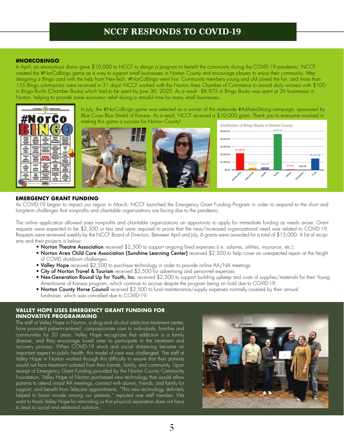## **NCCF RESPONDS TO COVID-19**

#### **#NORCOBINGO**

In April, an anonymous donor gave \$10,000 to NCCF to design a program to benefit the community during the COVID-19 pandemic. NCCF created the #NorCoBingo game as a way to support small businesses in Norton County and encourage players to enjoy their community. After designing a Bingo card with the help from Nex-Tech, #NorCoBingo went live. Community members young and old joined the fun, and more than 135 Bingo submissions were received in 31 days! NCCF worked with the Norton Area Chamber of Commerce to award daily winners with \$100 in Bingo Bucks (Chamber Bucks) which had to be spent by June 30, 2020. As a result - \$8,975 in Bingo Bucks was spent at 26 businesses in Norton, helping to provide some economic relief during a stressful time for many small businesses.



#### **EMERGENCY GRANT FUNDING**

As COVID-19 began to impact our region in March, NCCF launched the Emergency Grant Funding Program in order to respond to the short and long-term challenges that nonprofits and charitable organizations are facing due to the pandemic.

The online application allowed area nonprofits and charitable organizations an opportunity to apply for immediate funding as needs arose. Grant requests were expected to be \$2,500 or less and were required to prove that the new/increased organizational need was related to COVID-19. Requests were reviewed weekly by the NCCF Board of Directors. Between April and July, 6 grants were awarded for a total of \$15,000. A list of recipients and their projects is below:

- Norton Theatre Association received \$2,500 to support ongoing fixed expenses (i.e. salaries, utilities, insurance, etc.).
- Norton Area Child Care Association (Sunshine Learning Center) received \$2,500 to help cover an unexpected repair at the height of COVID shutdown challenges. .
- Valley Hope received \$2,500 to purchase technology in order to provide online AA/NA meetings.
- City of Norton Travel & Tourism received  $$2,500$  for advertising and personnel expenses.
- Nex-Generation Round Up for Youth, Inc. received \$2,500 to support building upkeep and costs of supplies/materials for their Young Ameritowne of Kansas program, which continue to accrue despite the program being on hold due to COVID-19.
- Norton County Horse Council received \$2,500 to fund maintenance/supply expenses normally covered by their annual fundraiser, which was cancelled due to COVID-19.

#### **VALLEY HOPE USES EMERGENCY GRANT FUNDING FOR INNOVATIVE PROGRAMMING**

The staff at Valley Hope in Norton, a drug and alcohol addiction treatment center, have provided patient-centered, compassionate care to individuals, families and communities for 50 years. Valley Hope recognizes that addiction is a family disease, and they encourage loved ones to participate in the treatment and recovery process. When COVID-19 struck and social distancing became an important aspect to public health, this model of care was challenged. The staff at Valley Hope in Norton worked through this difficulty to ensure that their patients would not face treatment isolated from their friends, family, and community. Upon receipt of Emergency Grant Funding provided by the Norton County Community Foundation, Valley Hope of Norton purchased new technology that would allow patients to attend virtual AA meetings, connect with alumni, friends, and family for support, and benefit from Telecare appointments. "This new technology definitely helped to boost morale among our patients," reported one staff member. We want to thank Valley Hope for reminding us that physical separation does not have to lead to social and relational isolation.

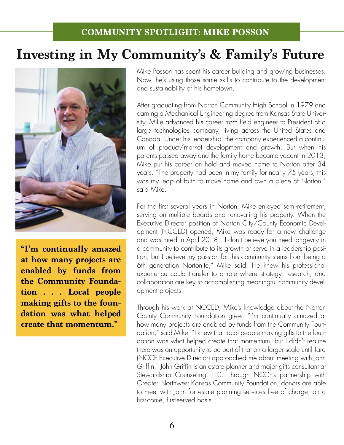## **Investing in My Community's & Family's Future**



**"I'm continually amazed at how many projects are enabled by funds from the Community Foundation . . . Local people making gifts to the foundation was what helped create that momentum."**

Mike Posson has spent his career building and growing businesses. Now, he's using those same skills to contribute to the development and sustainability of his hometown.

After graduating from Norton Community High School in 1979 and earning a Mechanical Engineering degree from Kansas State University, Mike advanced his career from field engineer to President of a large technologies company, living across the United States and Canada. Under his leadership, the company experienced a continuum of product/market development and growth. But when his parents passed away and the family home became vacant in 2013, Mike put his career on hold and moved home to Norton after 34 years. "The property had been in my family for nearly 75 years; this was my leap of faith to move home and own a piece of Norton," said Mike.

For the first several years in Norton, Mike enjoyed semi-retirement, serving on multiple boards and renovating his property. When the Executive Director position of Norton City/County Economic Development (NCCED) opened, Mike was ready for a new challenge and was hired in April 2018. "I don't believe you need longevity in a community to contribute to its growth or serve in a leadership position, but I believe my passion for this community stems from being a 6th generation Nortonite," Mike said. He knew his professional experience could transfer to a role where strategy, research, and collaboration are key to accomplishing meaningful community development projects.

Through his work at NCCED, Mike's knowledge about the Norton County Community Foundation grew. "I'm continually amazed at how many projects are enabled by funds from the Community Foundation," said Mike. "I knew that local people making gifts to the foundation was what helped create that momentum, but I didn't realize there was an opportunity to be part of that on a larger scale until Tara (NCCF Executive Director) approached me about meeting with John Griffin." John Griffin is an estate planner and major gifts consultant at Stewardship Counseling, LLC. Through NCCF's partnership with Greater Northwest Kansas Community Foundation, donors are able to meet with John for estate planning services free of charge, on a first-come, first-served basis.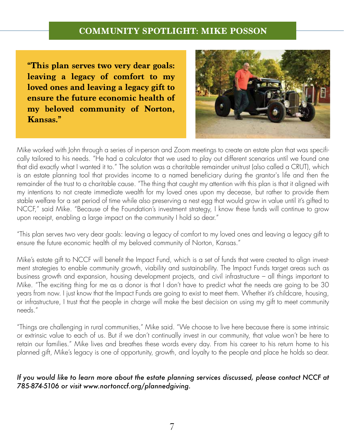## **COMMUNITY SPOTLIGHT: MIKE POSSON**

**"This plan serves two very dear goals: leaving a legacy of comfort to my loved ones and leaving a legacy gift to ensure the future economic health of my beloved community of Norton, Kansas."**



Mike worked with John through a series of in-person and Zoom meetings to create an estate plan that was specifically tailored to his needs. "He had a calculator that we used to play out different scenarios until we found one that did exactly what I wanted it to." The solution was a charitable remainder unitrust (also called a CRUT), which is an estate planning tool that provides income to a named beneficiary during the grantor's life and then the remainder of the trust to a charitable cause. "The thing that caught my attention with this plan is that it aligned with my intentions to not create immediate wealth for my loved ones upon my decease, but rather to provide them stable welfare for a set period of time while also preserving a nest egg that would grow in value until it's gifted to NCCF," said Mike. "Because of the Foundation's investment strategy, I know these funds will continue to grow upon receipt, enabling a large impact on the community I hold so dear."

"This plan serves two very dear goals: leaving a legacy of comfort to my loved ones and leaving a legacy gift to ensure the future economic health of my beloved community of Norton, Kansas."

Mike's estate gift to NCCF will benefit the Impact Fund, which is a set of funds that were created to align investment strategies to enable community growth, viability and sustainability. The Impact Funds target areas such as business growth and expansion, housing development projects, and civil infrastructure – all things important to Mike. "The exciting thing for me as a donor is that I don't have to predict what the needs are going to be 30 years from now. I just know that the Impact Funds are going to exist to meet them. Whether it's childcare, housing, or infrastructure, I trust that the people in charge will make the best decision on using my gift to meet community needs."

"Things are challenging in rural communities," Mike said. "We choose to live here because there is some intrinsic or extrinsic value to each of us. But if we don't continually invest in our community, that value won't be here to retain our families." Mike lives and breathes these words every day. From his career to his return home to his planned gift, Mike's legacy is one of opportunity, growth, and loyalty to the people and place he holds so dear.

### *If you would like to learn more about the estate planning services discussed, please contact NCCF at 785-874-5106 or visit www.nortonccf.org/plannedgiving.*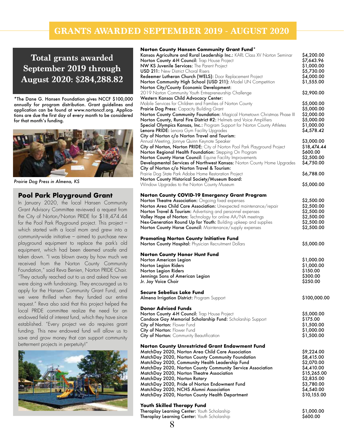## **GRANTS AWARDED SEPTEMBER 2019 - AUGUST 2020**

**Total grants awarded September 2019 through August 2020: \$284,288.82**

\*The Dane G. Hansen Foundation gives NCCF \$100,000 annually for program distribution. Grant guidelines and application can be found at www.nortonccf.org. Applications are due the first day of every month to be considered for that month's funding.



*Prairie Dog Press in Almena, KS* 

#### **Pool Park Playground Grant**

In January 2020, the local Hansen Community Grant Advisory Committee reviewed a request from the City of Norton/Norton PRIDE for \$18,474.44 for the Pool Park Playground project. This project – which started with a local mom and grew into a community-wide initiative – aimed to purchase new playground equipment to replace the park's old equipment, which had been deemed unsafe and taken down. "I was blown away by how much we received from the Norton County Community Foundation," said Reva Benien, Norton PRIDE Chair. "They actually reached out to us and asked how we were doing with fundraising. They encouraged us to apply for the Hansen Community Grant Fund, and we were thrilled when they funded our entire request." Reva also said that this project helped the local PRIDE committee realize the need for an endowed field of interest fund, which they have since established. "Every project we do requires grant funding. This new endowed fund will allow us to save and grow money that can support community betterment projects in perpetuity!'



#### **Norton County Hansen Community Grant Fund\***

| ionon coomy nansen commonity oram rona<br>Kansas Agriculture and Rural Leadership Inc.: KARL Class XV Norton Seminar | \$4,200.00                |
|----------------------------------------------------------------------------------------------------------------------|---------------------------|
| Norton County 4-H Council: Trap House Project                                                                        | \$7,643.96                |
| NW KS Juvenile Services: The Parent Project                                                                          | \$1,000.00                |
| <b>USD 211:</b> New District Choral Risers                                                                           | \$5,730.00                |
| Redeemer Lutheran Church (WELS): Door Replacement Project                                                            | \$4,000.00                |
| Norton Community High School (USD 211): Model UN Competition                                                         | \$1,555.00                |
| Norton City/County Economic Development:                                                                             |                           |
| 2019 Norton Community Youth Entrepreneurship Challenge                                                               | \$2,900.00                |
| Western Kansas Child Advocacy Center:                                                                                |                           |
| Mobile Services for Children and Families of Norton County                                                           | \$5,000.00                |
| <b>Prairie Dog Press:</b> Capacity Building Grant                                                                    | \$5,000.00                |
| Norton County Community Foundation: Magical Hometown Christmas Phase III                                             | \$2,000.00                |
| Norton County, Rural Fire District #2: Helmets and Voice Amplifiers                                                  | \$5,000.00                |
| <b>Special Olympics Kansas, Inc.:</b> Program Support for Norton County Athletes                                     | \$1,000.00                |
| Lenora PRIDE: Lenora Gym Facility Upgrades                                                                           | \$4,578.42                |
| City of Norton c/o Norton Travel and Tourism:                                                                        |                           |
| Annual Meeting, Jonnye Quinn Keynote Speaker                                                                         | \$3,000.00                |
| City of Norton, Norton PRIDE: City of Norton Pool Park Playground Project                                            | \$18,474.44               |
| Norton Regional Health Foundation: Stepping On Program                                                               | \$600.00                  |
| <b>Norton County Horse Council:</b> Equine Facility Improvements                                                     | \$2,500.00                |
| Developmental Services of Northwest Kansas: Norton County Home Upgrades                                              | \$4,750.00                |
| City of Norton c/o Norton Travel & Tourism:                                                                          |                           |
| Prairie Dog State Park Adobe Home Restoration Project                                                                | \$6,788.00                |
| Norton County Historical Society/Museum Board:                                                                       |                           |
| Window Upgrades to the Norton County Museum                                                                          | \$5,000.00                |
|                                                                                                                      |                           |
| <b>Norton County COVID-19 Emergency Grant Program</b>                                                                |                           |
| Norton Theatre Association: Ongoing fixed expenses                                                                   | \$2,500.00                |
| Norton Area Child Care Association: Unexpected maintenance/repair                                                    | \$2,500.00                |
| <b>Norton Travel &amp; Tourism:</b> Advertising and personnel expenses                                               | \$2,500.00                |
| Valley Hope of Norton: Technology for online AA/NA meetings                                                          | \$2,500.00                |
| Nex-Generation Round Up for Youth: Building upkeep and supplies                                                      | \$2,500.00                |
| <b>Norton County Horse Council:</b> Maintenance/supply expenses                                                      | \$2,500.00                |
|                                                                                                                      |                           |
| <b>Promoting Norton County Initiative Fund</b><br>Norton County Hospital: Physician Recruitment Dollars              | \$5,000.00                |
|                                                                                                                      |                           |
| <b>Norton County Honor Hunt Fund</b>                                                                                 |                           |
| Norton American Legion                                                                                               | \$1,000.00                |
| Norton Legion Riders                                                                                                 | \$1,000.00                |
| Norton Legion Riders                                                                                                 | \$150.00                  |
| Jennings Sons of American Legion                                                                                     | \$300.00                  |
| Jr. Jay Voice Choir                                                                                                  | \$250.00                  |
|                                                                                                                      |                           |
| Secure Sebelius Lake Fund                                                                                            |                           |
| Almena Irrigation District: Program Support                                                                          | \$100,000.00              |
| <b>Donor Advised Funds</b>                                                                                           |                           |
|                                                                                                                      |                           |
| Norton County 4-H Council: Trap House Project                                                                        | \$5,000.00<br>\$175.00    |
| Candace Gay Memorial Scholarship Fund: Scholarship Support                                                           | \$1,500.00                |
| City of Norton: Flower Fund                                                                                          |                           |
| City of Norton: Flower Fund                                                                                          | \$1,000.00<br>\$1,500.00  |
| City of Norton: Community Beautification                                                                             |                           |
|                                                                                                                      |                           |
| <b>Norton County Unrestricted Grant Endowment Fund</b>                                                               | \$9,224.00                |
| MatchDay 2020, Norton Area Child Care Association                                                                    | \$8,415.00                |
| MatchDay 2020, Norton County Community Foundation<br>MatchDay 2020, Community Health Leadership Fund                 | \$2,070.00                |
|                                                                                                                      |                           |
| MatchDay 2020, Norton County Community Service Association<br>MatchDay 2020, Norton Theatre Association              | \$4,410.00<br>\$15,265.00 |
| MatchDay 2020, Norton Rotary                                                                                         | \$2,835.00                |
|                                                                                                                      | \$3,780.00                |
| MatchDay 2020, Pride of Norton Endowment Fund<br>MatchDay 2020, NCHS Alumni Association                              | \$4,540.00                |
| MatchDay 2020, Norton County Health Department                                                                       | \$10,155.00               |
|                                                                                                                      |                           |
| <b>Youth Skilled Therapy Fund</b>                                                                                    |                           |

Theraplay Learning Center: Youth Scholarship  $$600.00$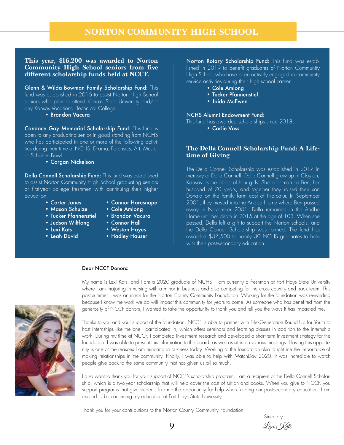#### **This year, \$16,200 was awarded to Norton Community High School seniors from five different scholarship funds held at NCCF.**

Glenn & Wilda Bowman Family Scholarship Fund: This fund was established in 2016 to assist Norton High School seniors who plan to attend Kansas State University and/or any Kansas Vocational Technical College.

• Brandon Vacura

Candace Gay Memorial Scholarship Fund: This fund is open to any graduating senior in good standing from NCHS who has participated in one or more of the following activities during their time at NCHS: Drama, Forensics, Art, Music, or Scholars Bowl.

• Corgan Nickelson

Della Connell Scholarship Fund: This fund was established to assist Norton Community High School graduating seniors or first-year college freshmen with continuing their higher education.<br>**Carter Jones** 

- 
- Connor Haresnape
- Mason Schulze Cole Amlona
- Tucker Pfannenstiel Brandon Vacura
- 
- 
- 
- 
- Judson Wiltfong Connor Hall
- Lexi Kats Weston Hayes
- Leah David Hadley Hauser

Norton Rotary Scholarship Fund: This fund was established in 2019 to benefit graduates of Norton Community High School who have been actively engaged in community service activities during their high school career.

- Cole Amlong
- Tucker Pfannenstiel
- Jaida McEwen

#### NCHS Alumni Endowment Fund:

This fund has awarded scholarships since 2018.

• Carlie Voss

#### **The Della Connell Scholarship Fund: A Lifetime of Giving**

The Della Connell Scholarship was established in 2017 in memory of Della Connell. Della Connell grew up in Clayton, Kansas as the oldest of four girls. She later married Ben, her husband of 70 years, and together they raised their son Donald on the family farm east of Norcatur. In September 2001, they moved into the Andbe Home where Ben passed away in November 2001. Della remained in the Andbe Home until her death in 2015 at the age of 103. When she passed, Della left a gift to support the Norton schools, and the Della Connell Scholarship was formed. The fund has awarded \$37,500 to nearly 30 NCHS graduates to help with their post-secondary education.

#### Dear NCCF Donors:



My name is Lexi Kats, and I am a 2020 graduate of NCHS. I am currently a freshman at Fort Hays State University where I am majoring in nursing with a minor in business and also competing for the cross country and track team. This past summer, I was an intern for the Norton County Community Foundation. Working for the foundation was rewarding because I know the work we do will impact this community for years to come. As someone who has benefited from the generosity of NCCF donors, I wanted to take the opportunity to thank you and tell you the ways it has impacted me.

Thanks to you and your support of the foundation, NCCF is able to partner with NexGeneration Round Up for Youth to host internships like the one I participated in, which offers seminars and learning classes in addition to the internship work. During my time at NCCF, I completed investment research and developed a short-term investment strategy for the foundation. I was able to present this information to the board, as well as sit in on various meetings. Having this opportunity is one of the reasons I am minoring in business today. Working at the foundation also taught me the importance of making relationships in the community. Finally, I was able to help with MatchDay 2020. It was incredible to watch people give back to the same community that has given us all so much.

I also want to thank you for your support of NCCF's scholarship program. I am a recipient of the Della Connell Scholarship, which is a two-year scholarship that will help cover the cost of tuition and books. When you give to NCCF, you support programs that give students like me the opportunity for help when funding our post-secondary education. I am excited to be continuing my education at Fort Hays State University.

Thank you for your contributions to the Norton County Community Foundation.

is a state of the state of the state of the state of the state of the Sincerely, and the Sincerely,  $\sim$ Lexi Kats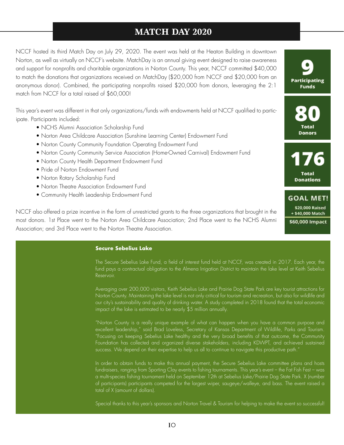## **MATCH DAY 2020**

NCCF hosted its third Match Day on July 29, 2020. The event was held at the Heaton Building in downtown Norton, as well as virtually on NCCF's website. MatchDay is an annual giving event designed to raise awareness and support for nonprofits and charitable organizations in Norton County. This year, NCCF committed \$40,000 to match the donations that organizations received on MatchDay (\$20,000 from NCCF and \$20,000 from an anonymous donor). Combined, the participating nonprofits raised \$20,000 from donors, leveraging the 2:1 match from NCCF for a total raised of \$60,000!

This year's event was different in that only organizations/funds with endowments held at NCCF qualified to participate. Participants included:

- NCHS Alumni Association Scholarship Fund
- Norton Area Childcare Association (Sunshine Learning Center) Endowment Fund
- Norton County Community Foundation Operating Endowment Fund
- Norton County Community Service Association (Home-Owned Carnival) Endowment Fund
- Norton County Health Department Endowment Fund
- Pride of Norton Endowment Fund
- Norton Rotary Scholarship Fund
- Norton Theatre Association Endowment Fund
- Community Health Leadership Endowment Fund

NCCF also offered a prize incentive in the form of unrestricted grants to the three organizations that brought in the most donors. 1st Place went to the Norton Area Childcare Association; 2nd Place went to the NCHS Alumni Association; and 3rd Place went to the Norton Theatre Association.

#### **Secure Sebelius Lake**

The Secure Sebelius Lake Fund, a field of interest fund held at NCCF, was created in 2017. Each year, the fund pays a contractual obligation to the Almena Irrigation District to maintain the lake level at Keith Sebelius Reservoir.

Averaging over 200,000 visitors, Keith Sebelius Lake and Prairie Dog State Park are key tourist attractions for Norton County. Maintaining the lake level is not only critical for tourism and recreation, but also for wildlife and our city's sustainability and quality of drinking water. A study completed in 2018 found that the total economic impact of the lake is estimated to be nearly \$5 million annually.

"Norton County is a really unique example of what can happen when you have a common purpose and excellent leadership," said Brad Loveless, Secretary of Kansas Department of Wildlife, Parks and Tourism. "Focusing on keeping Sebelius Lake healthy and the very broad benefits of that outcome, the Community Foundation has collected and organized diverse stakeholders, including KDWPT, and achieved sustained success. We depend on their expertise to help us all to continue to navigate this productive path."

In order to obtain funds to make this annual payment, the Secure Sebelius Lake committee plans and hosts fundraisers, ranging from Sporting Clay events to fishing tournaments. This year's event – the Fat Fish Fest – was a multi-species fishing tournament held on September 12th at Sebelius Lake/Prairie Dog State Park. X (number of participants) participants competed for the largest wiper, saugeye/walleye, and bass. The event raised a total of X (amount of dollars).

Special thanks to this year's sponsors and Norton Travel & Tourism for helping to make the event so successful!



**Total Donations** 

**GOAL MET!** \$20,000 Raised + \$40,000 Match \$60,000 Impact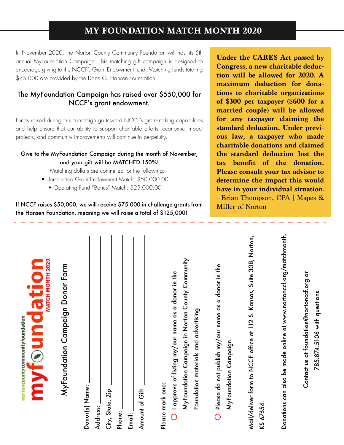## **MY FOUNDATION MATCH MONTH 2020**

In November 2020, the Norton County Community Foundation will host its 5th annual MyFoundation Campaign. This matching gift campaign is designed to encourage giving to the NCCF's Grant Endowment fund. Matching funds totaling \$75,000 are provided by the Dane G. Hansen Foundation.

### The MyFoundation Campaign has raised over \$550,000 for NCCF's grant endowment.

Funds raised during this campaign go toward NCCF's grant-making capabilities and help ensure that our ability to support charitable efforts, economic impact projects, and community improvements will continue in perpetuity.

#### Give to the MyFoundation Campaign during the month of November, and your gift will be MATCHED 150%!

Matching dollars are committed for the following:

- Unrestricted Grant Endowment Match: \$50,000.00
	- Operating Fund "Bonus" Match: \$25,000.00

If NCCF raises \$50,000, we will receive \$75,000 in challenge grants from the Hansen Foundation, meaning we will raise a total of \$125,000!

**Under the CARES Act passed by Congress, a new charitable deduction will be allowed for 2020. A maximum deduction for donations to charitable organizations of \$300 per taxpayer (\$600 for a married couple) will be allowed for any taxpayer claiming the standard deduction. Under previous law, a taxpayer who made charitable donations and claimed the standard deduction lost the tax benefit of the donation. Please consult your tax advisor to determine the impact this would have in your individual situation.** - Brian Thompson, CPA | Mapes & Miller of Norton

| MATCH MONTH 2020<br>myf®undation<br>nortoncountycommunityfoundation                |
|------------------------------------------------------------------------------------|
| MyFoundation Campaign Donor Form                                                   |
| Donor(s) Name:                                                                     |
| City, State, Zip:<br>Address:                                                      |
| Phone: _                                                                           |
| Email:                                                                             |
| Amount of Gift:                                                                    |
| $\bigcirc$ I approve of listing my/our name as a donor in the<br>Please mark one:  |
| MyFoundation Campaign in Norton County Community                                   |
| Foundation materials and advertising                                               |
| Please do not publish my/our name as a donor in the<br>$\overline{O}$              |
| MyFoundation Campaign.                                                             |
| Mail/deliver form to NCCF office at 112 S. Kansas, Suite 308, Norton,<br>KS 67654. |
| Donations can also be made online at www.nortonccf.org/matchmonth.                 |
| Contact us at foundation@nortonccf.org or                                          |
| 785.874.5106 with questions.                                                       |